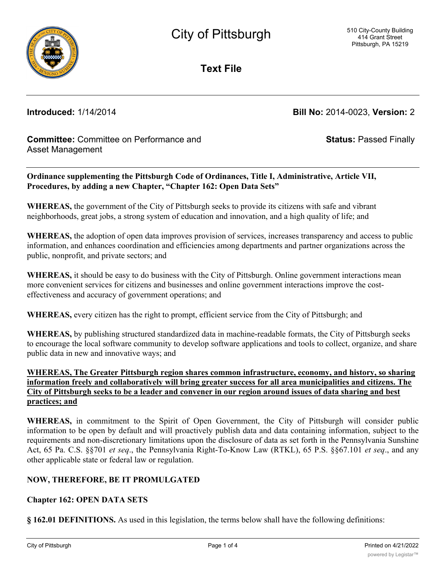

**Text File**

**Introduced:** 1/14/2014 **Bill No:** 2014-0023, **Version:** 2

**Status:** Passed Finally

# **Committee:** Committee on Performance and Asset Management

**Ordinance supplementing the Pittsburgh Code of Ordinances, Title I, Administrative, Article VII, Procedures, by adding a new Chapter, "Chapter 162: Open Data Sets"**

**WHEREAS,** the government of the City of Pittsburgh seeks to provide its citizens with safe and vibrant neighborhoods, great jobs, a strong system of education and innovation, and a high quality of life; and

**WHEREAS,** the adoption of open data improves provision of services, increases transparency and access to public information, and enhances coordination and efficiencies among departments and partner organizations across the public, nonprofit, and private sectors; and

**WHEREAS,** it should be easy to do business with the City of Pittsburgh. Online government interactions mean more convenient services for citizens and businesses and online government interactions improve the costeffectiveness and accuracy of government operations; and

**WHEREAS,** every citizen has the right to prompt, efficient service from the City of Pittsburgh; and

**WHEREAS,** by publishing structured standardized data in machine-readable formats, the City of Pittsburgh seeks to encourage the local software community to develop software applications and tools to collect, organize, and share public data in new and innovative ways; and

### **WHEREAS, The Greater Pittsburgh region shares common infrastructure, economy, and history, so sharing information freely and collaboratively will bring greater success for all area municipalities and citizens. The City of Pittsburgh seeks to be a leader and convener in our region around issues of data sharing and best practices; and**

**WHEREAS,** in commitment to the Spirit of Open Government, the City of Pittsburgh will consider public information to be open by default and will proactively publish data and data containing information, subject to the requirements and non-discretionary limitations upon the disclosure of data as set forth in the Pennsylvania Sunshine Act, 65 Pa. C.S. §§701 *et seq*., the Pennsylvania Right-To-Know Law (RTKL), 65 P.S. §§67.101 *et seq*., and any other applicable state or federal law or regulation.

## **NOW, THEREFORE, BE IT PROMULGATED**

### **Chapter 162: OPEN DATA SETS**

**§ 162.01 DEFINITIONS.** As used in this legislation, the terms below shall have the following definitions: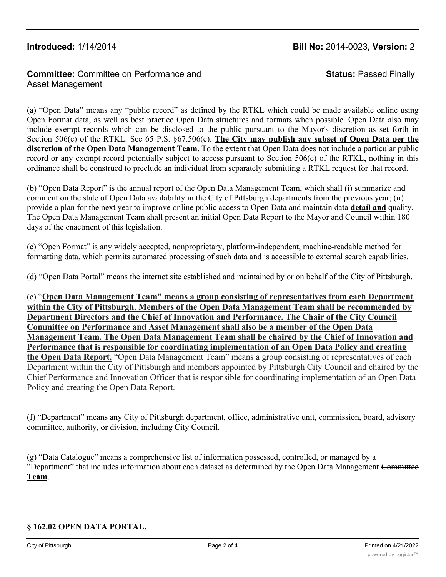# **Introduced:** 1/14/2014 **Bill No:** 2014-0023, **Version:** 2

# **Committee:** Committee on Performance and Asset Management

**Status:** Passed Finally

(a) "Open Data" means any "public record" as defined by the RTKL which could be made available online using Open Format data, as well as best practice Open Data structures and formats when possible. Open Data also may include exempt records which can be disclosed to the public pursuant to the Mayor's discretion as set forth in Section 506(c) of the RTKL. See 65 P.S. §67.506(c). **The City may publish any subset of Open Data per the discretion of the Open Data Management Team.** To the extent that Open Data does not include a particular public record or any exempt record potentially subject to access pursuant to Section 506(c) of the RTKL, nothing in this ordinance shall be construed to preclude an individual from separately submitting a RTKL request for that record.

(b) "Open Data Report" is the annual report of the Open Data Management Team, which shall (i) summarize and comment on the state of Open Data availability in the City of Pittsburgh departments from the previous year; (ii) provide a plan for the next year to improve online public access to Open Data and maintain data **detail and** quality. The Open Data Management Team shall present an initial Open Data Report to the Mayor and Council within 180 days of the enactment of this legislation.

(c) "Open Format" is any widely accepted, nonproprietary, platform-independent, machine-readable method for formatting data, which permits automated processing of such data and is accessible to external search capabilities.

(d) "Open Data Portal" means the internet site established and maintained by or on behalf of the City of Pittsburgh.

(e) "**Open Data Management Team" means a group consisting of representatives from each Department within the City of Pittsburgh. Members of the Open Data Management Team shall be recommended by Department Directors and the Chief of Innovation and Performance. The Chair of the City Council Committee on Performance and Asset Management shall also be a member of the Open Data Management Team. The Open Data Management Team shall be chaired by the Chief of Innovation and Performance that is responsible for coordinating implementation of an Open Data Policy and creating the Open Data Report.** "Open Data Management Team" means a group consisting of representatives of each Department within the City of Pittsburgh and members appointed by Pittsburgh City Council and chaired by the Chief Performance and Innovation Officer that is responsible for coordinating implementation of an Open Data Policy and creating the Open Data Report.

(f) "Department" means any City of Pittsburgh department, office, administrative unit, commission, board, advisory committee, authority, or division, including City Council.

(g) "Data Catalogue" means a comprehensive list of information possessed, controlled, or managed by a "Department" that includes information about each dataset as determined by the Open Data Management Committee **Team**.

### **§ 162.02 OPEN DATA PORTAL.**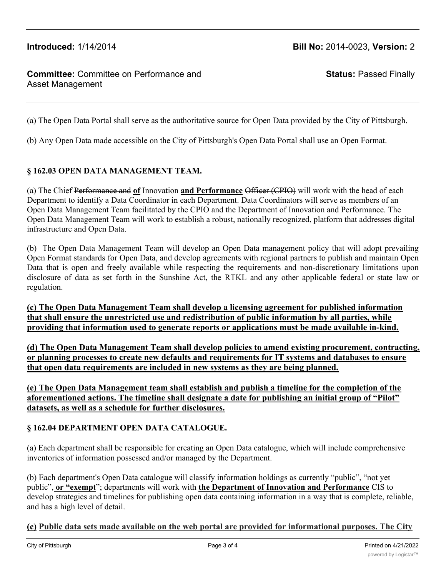# **Introduced:** 1/14/2014 **Bill No:** 2014-0023, **Version:** 2

# **Committee:** Committee on Performance and Asset Management

**Status:** Passed Finally

(a) The Open Data Portal shall serve as the authoritative source for Open Data provided by the City of Pittsburgh.

(b) Any Open Data made accessible on the City of Pittsburgh's Open Data Portal shall use an Open Format.

#### **§ 162.03 OPEN DATA MANAGEMENT TEAM.**

(a) The Chief Performance and **of** Innovation **and Performance** Officer (CPIO) will work with the head of each Department to identify a Data Coordinator in each Department. Data Coordinators will serve as members of an Open Data Management Team facilitated by the CPIO and the Department of Innovation and Performance. The Open Data Management Team will work to establish a robust, nationally recognized, platform that addresses digital infrastructure and Open Data.

(b) The Open Data Management Team will develop an Open Data management policy that will adopt prevailing Open Format standards for Open Data, and develop agreements with regional partners to publish and maintain Open Data that is open and freely available while respecting the requirements and non-discretionary limitations upon disclosure of data as set forth in the Sunshine Act, the RTKL and any other applicable federal or state law or regulation.

**(c) The Open Data Management Team shall develop a licensing agreement for published information that shall ensure the unrestricted use and redistribution of public information by all parties, while providing that information used to generate reports or applications must be made available in-kind.**

**(d) The Open Data Management Team shall develop policies to amend existing procurement, contracting, or planning processes to create new defaults and requirements for IT systems and databases to ensure that open data requirements are included in new systems as they are being planned.**

**(e) The Open Data Management team shall establish and publish a timeline for the completion of the aforementioned actions. The timeline shall designate a date for publishing an initial group of "Pilot" datasets, as well as a schedule for further disclosures.**

### **§ 162.04 DEPARTMENT OPEN DATA CATALOGUE.**

(a) Each department shall be responsible for creating an Open Data catalogue, which will include comprehensive inventories of information possessed and/or managed by the Department.

(b) Each department's Open Data catalogue will classify information holdings as currently "public", "not yet public", **or "exempt**"; departments will work with **the Department of Innovation and Performance** CIS to develop strategies and timelines for publishing open data containing information in a way that is complete, reliable, and has a high level of detail.

### **(c) Public data sets made available on the web portal are provided for informational purposes. The City**